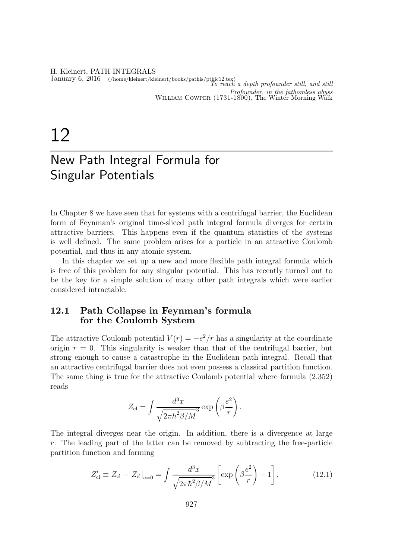H. Kleinert, PATH INTEGRALS January 6, 2016 (/home/kleinert/kleinert/books/pathis/pthic12.tex)<br>To reach a depth profounder still, and still Profounder, in the fathomless abyss William Cowper (1731-1800), The Winter Morning Walk

# 12

## New Path Integral Formula for Singular Potentials

In Chapter 8 we have seen that for systems with a centrifugal barrier, the Euclidean form of Feynman's original time-sliced path integral formula diverges for certain attractive barriers. This happens even if the quantum statistics of the systems is well defined. The same problem arises for a particle in an attractive Coulomb potential, and thus in any atomic system.

In this chapter we set up a new and more flexible path integral formula which is free of this problem for any singular potential. This has recently turned out to be the key for a simple solution of many other path integrals which were earlier considered intractable.

#### 12.1 Path Collapse in Feynman's formula for the Coulomb System

The attractive Coulomb potential  $V(r) = -e^2/r$  has a singularity at the coordinate origin  $r = 0$ . This singularity is weaker than that of the centrifugal barrier, but strong enough to cause a catastrophe in the Euclidean path integral. Recall that an attractive centrifugal barrier does not even possess a classical partition function. The same thing is true for the attractive Coulomb potential where formula (2.352) reads

$$
Z_{\rm cl} = \int \frac{d^3x}{\sqrt{2\pi\hbar^2\beta/M}^3} \exp\left(\beta\frac{e^2}{r}\right).
$$

The integral diverges near the origin. In addition, there is a divergence at large r. The leading part of the latter can be removed by subtracting the free-particle partition function and forming

$$
Z'_{\rm cl} \equiv Z_{\rm cl} - Z_{\rm cl}|_{e=0} = \int \frac{d^3x}{\sqrt{2\pi\hbar^2\beta/M^3}} \left[ \exp\left(\beta \frac{e^2}{r}\right) - 1 \right],\tag{12.1}
$$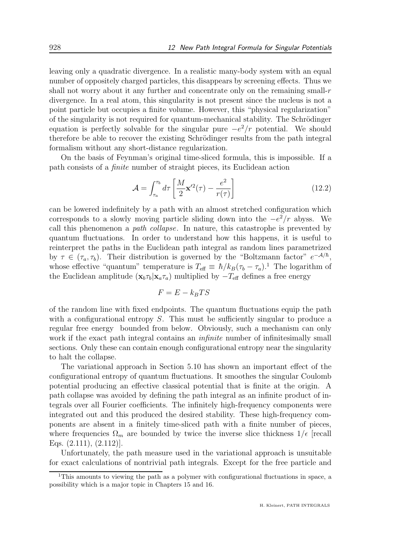leaving only a quadratic divergence. In a realistic many-body system with an equal number of oppositely charged particles, this disappears by screening effects. Thus we shall not worry about it any further and concentrate only on the remaining small-r divergence. In a real atom, this singularity is not present since the nucleus is not a point particle but occupies a finite volume. However, this "physical regularization" of the singularity is not required for quantum-mechanical stability. The Schrödinger equation is perfectly solvable for the singular pure  $-e^2/r$  potential. We should therefore be able to recover the existing Schrödinger results from the path integral formalism without any short-distance regularization.

On the basis of Feynman's original time-sliced formula, this is impossible. If a path consists of a finite number of straight pieces, its Euclidean action

$$
\mathcal{A} = \int_{\tau_a}^{\tau_b} d\tau \left[ \frac{M}{2} \mathbf{x}'^2(\tau) - \frac{e^2}{r(\tau)} \right] \tag{12.2}
$$

can be lowered indefinitely by a path with an almost stretched configuration which corresponds to a slowly moving particle sliding down into the  $-e^2/r$  abyss. We call this phenomenon a path collapse. In nature, this catastrophe is prevented by quantum fluctuations. In order to understand how this happens, it is useful to reinterpret the paths in the Euclidean path integral as random lines parametrized by  $\tau \in (\tau_a, \tau_b)$ . Their distribution is governed by the "Boltzmann factor"  $e^{-\mathcal{A}/\hbar}$ , whose effective "quantum" temperature is  $T_{\text{eff}} \equiv \hbar/k_B(\tau_b - \tau_a)$ .<sup>1</sup> The logarithm of the Euclidean amplitude  $(\mathbf{x}_b \tau_b | \mathbf{x}_a \tau_a)$  multiplied by  $-T_{\text{eff}}$  defines a free energy

$$
F = E - k_B T S
$$

of the random line with fixed endpoints. The quantum fluctuations equip the path with a configurational entropy S. This must be sufficiently singular to produce a regular free energy bounded from below. Obviously, such a mechanism can only work if the exact path integral contains an *infinite* number of infinitesimally small sections. Only these can contain enough configurational entropy near the singularity to halt the collapse.

The variational approach in Section 5.10 has shown an important effect of the configurational entropy of quantum fluctuations. It smoothes the singular Coulomb potential producing an effective classical potential that is finite at the origin. A path collapse was avoided by defining the path integral as an infinite product of integrals over all Fourier coefficients. The infinitely high-frequency components were integrated out and this produced the desired stability. These high-frequency components are absent in a finitely time-sliced path with a finite number of pieces, where frequencies  $\Omega_m$  are bounded by twice the inverse slice thickness  $1/\epsilon$  [recall Eqs.  $(2.111), (2.112)$ .

Unfortunately, the path measure used in the variational approach is unsuitable for exact calculations of nontrivial path integrals. Except for the free particle and

<sup>&</sup>lt;sup>1</sup>This amounts to viewing the path as a polymer with configurational fluctuations in space, a possibility which is a major topic in Chapters 15 and 16.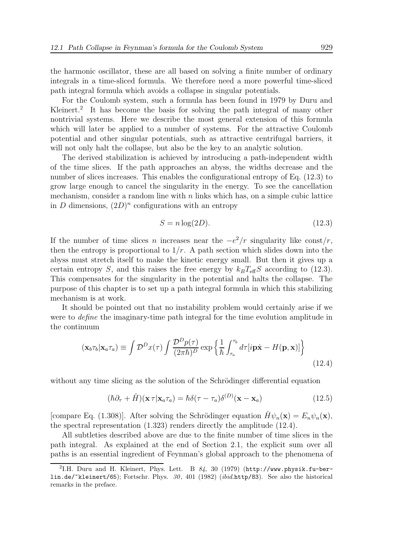the harmonic oscillator, these are all based on solving a finite number of ordinary integrals in a time-sliced formula. We therefore need a more powerful time-sliced path integral formula which avoids a collapse in singular potentials.

For the Coulomb system, such a formula has been found in 1979 by Duru and Kleinert.<sup>2</sup> It has become the basis for solving the path integral of many other nontrivial systems. Here we describe the most general extension of this formula which will later be applied to a number of systems. For the attractive Coulomb potential and other singular potentials, such as attractive centrifugal barriers, it will not only halt the collapse, but also be the key to an analytic solution.

The derived stabilization is achieved by introducing a path-independent width of the time slices. If the path approaches an abyss, the widths decrease and the number of slices increases. This enables the configurational entropy of Eq. (12.3) to grow large enough to cancel the singularity in the energy. To see the cancellation mechanism, consider a random line with  $n$  links which has, on a simple cubic lattice in D dimensions,  $(2D)^n$  configurations with an entropy

$$
S = n \log(2D). \tag{12.3}
$$

If the number of time slices n increases near the  $-e^2/r$  singularity like const/r, then the entropy is proportional to  $1/r$ . A path section which slides down into the abyss must stretch itself to make the kinetic energy small. But then it gives up a certain entropy S, and this raises the free energy by  $k_B T_{\text{eff}}S$  according to (12.3). This compensates for the singularity in the potential and halts the collapse. The purpose of this chapter is to set up a path integral formula in which this stabilizing mechanism is at work.

It should be pointed out that no instability problem would certainly arise if we were to *define* the imaginary-time path integral for the time evolution amplitude in the continuum

$$
(\mathbf{x}_b \tau_b | \mathbf{x}_a \tau_a) \equiv \int \mathcal{D}^D x(\tau) \int \frac{\mathcal{D}^D p(\tau)}{(2\pi\hbar)^D} \exp \left\{ \frac{1}{\hbar} \int_{\tau_a}^{\tau_b} d\tau [i \mathbf{p} \dot{\mathbf{x}} - H(\mathbf{p}, \mathbf{x})] \right\}
$$
(12.4)

without any time slicing as the solution of the Schrödinger differential equation

$$
(\hbar \partial_{\tau} + \hat{H})(\mathbf{x} \tau | \mathbf{x}_a \tau_a) = \hbar \delta(\tau - \tau_a) \delta^{(D)}(\mathbf{x} - \mathbf{x}_a)
$$
(12.5)

[compare Eq. (1.308)]. After solving the Schrödinger equation  $\hat{H}\psi_n(\mathbf{x}) = E_n\psi_n(\mathbf{x}),$ the spectral representation (1.323) renders directly the amplitude (12.4).

All subtleties described above are due to the finite number of time slices in the path integral. As explained at the end of Section 2.1, the explicit sum over all paths is an essential ingredient of Feynman's global approach to the phenomena of

<sup>&</sup>lt;sup>2</sup>I.H. Duru and H. Kleinert, Phys. Lett. B  $84$ , 30 (1979) (http://www.physik.fu-berlin.de/~kleinert/65); Fortschr. Phys. 30, 401 (1982) (ibid.http/83). See also the historical remarks in the preface.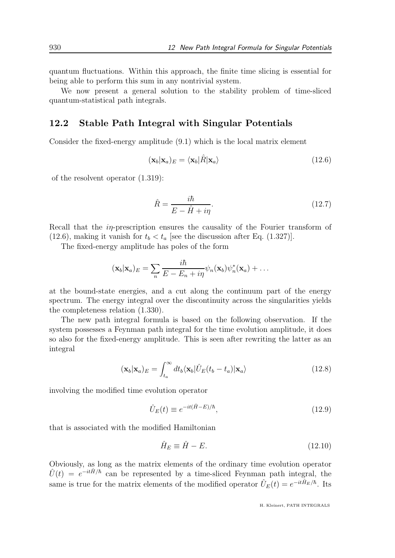quantum fluctuations. Within this approach, the finite time slicing is essential for being able to perform this sum in any nontrivial system.

We now present a general solution to the stability problem of time-sliced quantum-statistical path integrals.

#### 12.2 Stable Path Integral with Singular Potentials

Consider the fixed-energy amplitude (9.1) which is the local matrix element

$$
(\mathbf{x}_b|\mathbf{x}_a)_E = \langle \mathbf{x}_b|\hat{R}|\mathbf{x}_a\rangle \tag{12.6}
$$

of the resolvent operator (1.319):

$$
\hat{R} = \frac{i\hbar}{E - \hat{H} + i\eta}.\tag{12.7}
$$

Recall that the *in*-prescription ensures the causality of the Fourier transform of (12.6), making it vanish for  $t_b < t_a$  [see the discussion after Eq. (1.327)].

The fixed-energy amplitude has poles of the form

$$
(\mathbf{x}_b|\mathbf{x}_a)_E = \sum_n \frac{i\hbar}{E - E_n + i\eta} \psi_n(\mathbf{x}_b) \psi_n^*(\mathbf{x}_a) + \dots
$$

at the bound-state energies, and a cut along the continuum part of the energy spectrum. The energy integral over the discontinuity across the singularities yields the completeness relation (1.330).

The new path integral formula is based on the following observation. If the system possesses a Feynman path integral for the time evolution amplitude, it does so also for the fixed-energy amplitude. This is seen after rewriting the latter as an integral

$$
(\mathbf{x}_b|\mathbf{x}_a)_E = \int_{t_a}^{\infty} dt_b \langle \mathbf{x}_b | \hat{U}_E(t_b - t_a) | \mathbf{x}_a \rangle \tag{12.8}
$$

involving the modified time evolution operator

$$
\hat{U}_E(t) \equiv e^{-it(\hat{H} - E)/\hbar},\tag{12.9}
$$

that is associated with the modified Hamiltonian

$$
\hat{H}_E \equiv \hat{H} - E. \tag{12.10}
$$

Obviously, as long as the matrix elements of the ordinary time evolution operator  $\hat{U}(t) = e^{-it\hat{H}/\hbar}$  can be represented by a time-sliced Feynman path integral, the same is true for the matrix elements of the modified operator  $\hat{U}_E(t) = e^{-it\hat{H}_E/\hbar}$ . Its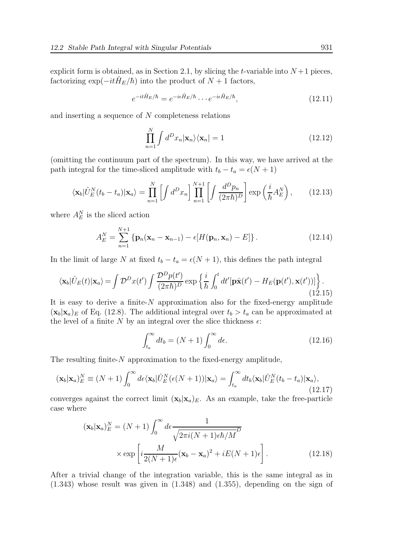explicit form is obtained, as in Section 2.1, by slicing the t-variable into  $N+1$  pieces, factorizing  $\exp(-it\hat{H}_E/\hbar)$  into the product of  $N+1$  factors,

$$
e^{-it\hat{H}_E/\hbar} = e^{-i\epsilon\hat{H}_E/\hbar} \cdots e^{-i\epsilon\hat{H}_E/\hbar},\tag{12.11}
$$

and inserting a sequence of  $N$  completeness relations

$$
\prod_{n=1}^{N} \int d^{D}x_{n} |\mathbf{x}_{n}\rangle\langle\mathbf{x}_{n}| = 1
$$
\n(12.12)

(omitting the continuum part of the spectrum). In this way, we have arrived at the path integral for the time-sliced amplitude with  $t_b - t_a = \epsilon(N + 1)$ 

$$
\langle \mathbf{x}_b | \hat{U}_E^N(t_b - t_a) | \mathbf{x}_a \rangle = \prod_{n=1}^N \left[ \int d^D x_n \right] \prod_{n=1}^{N+1} \left[ \int \frac{d^D p_n}{(2\pi\hbar)^D} \right] \exp\left(\frac{i}{\hbar} A_E^N\right),\tag{12.13}
$$

where  $A_E^N$  is the sliced action

$$
A_E^N = \sum_{n=1}^{N+1} \{ \mathbf{p}_n(\mathbf{x}_n - \mathbf{x}_{n-1}) - \epsilon [H(\mathbf{p}_n, \mathbf{x}_n) - E] \}.
$$
 (12.14)

In the limit of large N at fixed  $t_b - t_a = \epsilon(N + 1)$ , this defines the path integral

$$
\langle \mathbf{x}_b | \hat{U}_E(t) | \mathbf{x}_a \rangle = \int \mathcal{D}^D x(t') \int \frac{\mathcal{D}^D p(t')}{(2\pi\hbar)^D} \exp \left\{ \frac{i}{\hbar} \int_0^t dt' [\mathbf{p}\dot{\mathbf{x}}(t') - H_E(\mathbf{p}(t'), \mathbf{x}(t'))] \right\}.
$$
\n(12.15)

It is easy to derive a finite- $N$  approximation also for the fixed-energy amplitude  $(\mathbf{x}_b|\mathbf{x}_a)_E$  of Eq. (12.8). The additional integral over  $t_b > t_a$  can be approximated at the level of a finite N by an integral over the slice thickness  $\epsilon$ :

$$
\int_{t_a}^{\infty} dt_b = (N+1) \int_0^{\infty} d\epsilon.
$$
 (12.16)

The resulting finite- $N$  approximation to the fixed-energy amplitude,

$$
(\mathbf{x}_b|\mathbf{x}_a)_E^N \equiv (N+1)\int_0^\infty d\epsilon \langle \mathbf{x}_b|\hat{U}_E^N(\epsilon(N+1))|\mathbf{x}_a\rangle = \int_{t_a}^\infty dt_b \langle \mathbf{x}_b|\hat{U}_E^N(t_b - t_a)|\mathbf{x}_a\rangle,\tag{12.17}
$$

converges against the correct limit  $(\mathbf{x}_b|\mathbf{x}_a)_E$ . As an example, take the free-particle case where

$$
(\mathbf{x}_b|\mathbf{x}_a)_E^N = (N+1)\int_0^\infty d\epsilon \frac{1}{\sqrt{2\pi i(N+1)\epsilon\hbar/M}} \times \exp\left[i\frac{M}{2(N+1)\epsilon}(\mathbf{x}_b - \mathbf{x}_a)^2 + iE(N+1)\epsilon\right].
$$
\n(12.18)

After a trivial change of the integration variable, this is the same integral as in (1.343) whose result was given in (1.348) and (1.355), depending on the sign of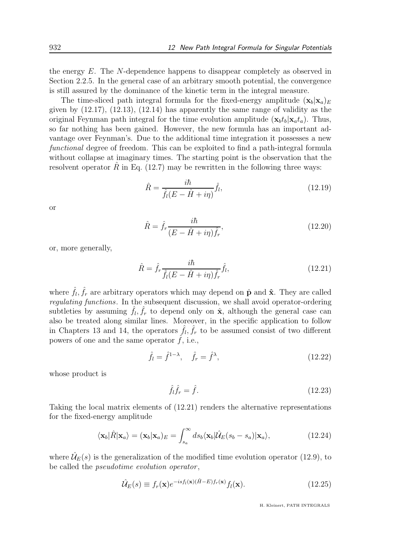the energy E. The N-dependence happens to disappear completely as observed in Section 2.2.5. In the general case of an arbitrary smooth potential, the convergence is still assured by the dominance of the kinetic term in the integral measure.

The time-sliced path integral formula for the fixed-energy amplitude  $(\mathbf{x}_b|\mathbf{x}_a)_{E}$ given by (12.17), (12.13), (12.14) has apparently the same range of validity as the original Feynman path integral for the time evolution amplitude  $(\mathbf{x}_b t_b | \mathbf{x}_a t_a)$ . Thus, so far nothing has been gained. However, the new formula has an important advantage over Feynman's. Due to the additional time integration it possesses a new functional degree of freedom. This can be exploited to find a path-integral formula without collapse at imaginary times. The starting point is the observation that the resolvent operator  $\hat{R}$  in Eq. (12.7) may be rewritten in the following three ways:

$$
\hat{R} = \frac{i\hbar}{\hat{f}_l(E - \hat{H} + i\eta)}\hat{f}_l, \tag{12.19}
$$

or

$$
\hat{R} = \hat{f}_r \frac{i\hbar}{(E - \hat{H} + i\eta)\hat{f}_r},\tag{12.20}
$$

or, more generally,

$$
\hat{R} = \hat{f}_r \frac{i\hbar}{\hat{f}_l(E - \hat{H} + i\eta)\hat{f}_r} \hat{f}_l, \tag{12.21}
$$

where  $\hat{f}_l, \hat{f}_r$  are arbitrary operators which may depend on  $\hat{\mathbf{p}}$  and  $\hat{\mathbf{x}}$ . They are called regulating functions. In the subsequent discussion, we shall avoid operator-ordering subtleties by assuming  $\hat{f}_l$ ,  $\hat{f}_r$  to depend only on  $\hat{\mathbf{x}}$ , although the general case can also be treated along similar lines. Moreover, in the specific application to follow in Chapters 13 and 14, the operators  $\hat{f}_l$ ,  $\hat{f}_r$  to be assumed consist of two different powers of one and the same operator  $f$ , i.e.,

$$
\hat{f}_l = \hat{f}^{1-\lambda}, \quad \hat{f}_r = \hat{f}^{\lambda}, \tag{12.22}
$$

whose product is

$$
\hat{f}_l \hat{f}_r = \hat{f}.\tag{12.23}
$$

Taking the local matrix elements of (12.21) renders the alternative representations for the fixed-energy amplitude

$$
\langle \mathbf{x}_b | \hat{R} | \mathbf{x}_a \rangle = (\mathbf{x}_b | \mathbf{x}_a)_E = \int_{s_a}^{\infty} ds_b \langle \mathbf{x}_b | \hat{\mathcal{U}}_E(s_b - s_a) | \mathbf{x}_a \rangle, \qquad (12.24)
$$

where  $\hat{\mathcal{U}}_E(s)$  is the generalization of the modified time evolution operator (12.9), to be called the *pseudotime evolution operator*,

$$
\hat{\mathcal{U}}_E(s) \equiv f_r(\mathbf{x})e^{-isf_l(\mathbf{x})(\hat{H}-E)f_r(\mathbf{x})}f_l(\mathbf{x}).\tag{12.25}
$$

H. Kleinert, PATH INTEGRALS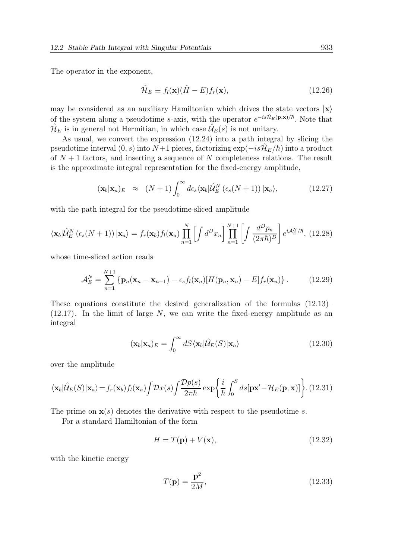The operator in the exponent,

$$
\hat{\mathcal{H}}_E \equiv f_l(\mathbf{x})(\hat{H} - E)f_r(\mathbf{x}),\tag{12.26}
$$

may be considered as an auxiliary Hamiltonian which drives the state vectors  $|x\rangle$ of the system along a pseudotime s-axis, with the operator  $e^{-is\hat{H}_E(\mathbf{p}, \mathbf{x})/\hbar}$ . Note that  $\hat{\mathcal{H}}_E$  is in general not Hermitian, in which case  $\hat{\mathcal{U}}_E(s)$  is not unitary.

As usual, we convert the expression (12.24) into a path integral by slicing the pseudotime interval  $(0, s)$  into  $N+1$  pieces, factorizing  $\exp(-is\hat{\mathcal{H}}_E/\hbar)$  into a product of  $N+1$  factors, and inserting a sequence of N completeness relations. The result is the approximate integral representation for the fixed-energy amplitude,

$$
(\mathbf{x}_b|\mathbf{x}_a)_E \approx (N+1) \int_0^\infty d\epsilon_s \langle \mathbf{x}_b | \hat{\mathcal{U}}_E^N(\epsilon_s(N+1)) | \mathbf{x}_a \rangle, \qquad (12.27)
$$

with the path integral for the pseudotime-sliced amplitude

$$
\langle \mathbf{x}_b | \hat{\mathcal{U}}_E^N \left( \epsilon_s(N+1) \right) | \mathbf{x}_a \rangle = f_r(\mathbf{x}_b) f_l(\mathbf{x}_a) \prod_{n=1}^N \left[ \int d^D x_n \right] \prod_{n=1}^{N+1} \left[ \int \frac{d^D p_n}{(2\pi\hbar)^D} \right] e^{i \mathcal{A}_E^N/\hbar}, \tag{12.28}
$$

whose time-sliced action reads

$$
\mathcal{A}_E^N = \sum_{n=1}^{N+1} \left\{ \mathbf{p}_n(\mathbf{x}_n - \mathbf{x}_{n-1}) - \epsilon_s f_l(\mathbf{x}_n) \left[ H(\mathbf{p}_n, \mathbf{x}_n) - E \right] f_r(\mathbf{x}_n) \right\}. \tag{12.29}
$$

These equations constitute the desired generalization of the formulas (12.13)–  $(12.17)$ . In the limit of large N, we can write the fixed-energy amplitude as an integral

$$
(\mathbf{x}_b|\mathbf{x}_a)_E = \int_0^\infty dS \langle \mathbf{x}_b|\hat{\mathcal{U}}_E(S)|\mathbf{x}_a\rangle \tag{12.30}
$$

over the amplitude

$$
\langle \mathbf{x}_b | \hat{\mathcal{U}}_E(S) | \mathbf{x}_a \rangle = f_r(\mathbf{x}_b) f_l(\mathbf{x}_a) \int \mathcal{D}x(s) \int \frac{\mathcal{D}p(s)}{2\pi\hbar} \exp\left\{ \frac{i}{\hbar} \int_0^S ds [\mathbf{p}\mathbf{x}' - \mathcal{H}_E(\mathbf{p}, \mathbf{x})] \right\} . (12.31)
$$

The prime on  $\mathbf{x}(s)$  denotes the derivative with respect to the pseudotime s.

For a standard Hamiltonian of the form

$$
H = T(\mathbf{p}) + V(\mathbf{x}),\tag{12.32}
$$

with the kinetic energy

$$
T(\mathbf{p}) = \frac{\mathbf{p}^2}{2M},\tag{12.33}
$$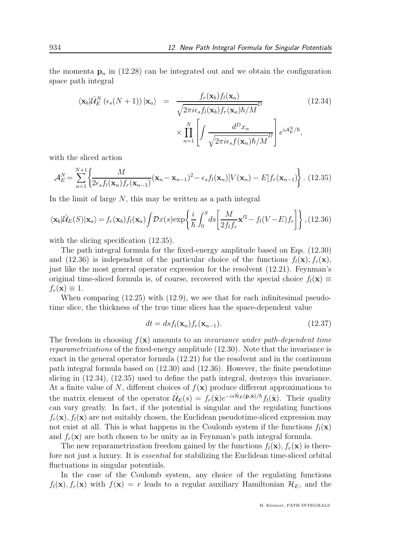the momenta  $\mathbf{p}_n$  in (12.28) can be integrated out and we obtain the configuration space path integral

$$
\langle \mathbf{x}_b | \hat{\mathcal{U}}_E^N (\epsilon_s (N+1)) | \mathbf{x}_a \rangle = \frac{f_r(\mathbf{x}_b) f_l(\mathbf{x}_a)}{\sqrt{2\pi i \epsilon_s f_l(\mathbf{x}_b) f_r(\mathbf{x}_a) \hbar/M}^D}
$$
(12.34)  

$$
\times \prod_{n=1}^N \left[ \int \frac{d^D x_n}{\sqrt{2\pi i \epsilon_s f(\mathbf{x}_n) \hbar/M}^D} \right] e^{iA_E^N/\hbar},
$$

with the sliced action

$$
\mathcal{A}_E^N = \sum_{n=1}^{N+1} \left\{ \frac{M}{2\epsilon_s f_l(\mathbf{x}_n) f_r(\mathbf{x}_{n-1})} (\mathbf{x}_n - \mathbf{x}_{n-1})^2 - \epsilon_s f_l(\mathbf{x}_n) [V(\mathbf{x}_n) - E] f_r(\mathbf{x}_{n-1}) \right\}.
$$
 (12.35)

In the limit of large  $N$ , this may be written as a path integral

$$
\langle \mathbf{x}_b | \hat{\mathcal{U}}_E(S) | \mathbf{x}_a \rangle = f_r(\mathbf{x}_b) f_l(\mathbf{x}_a) \int \mathcal{D}x(s) \exp\left\{ \frac{i}{\hbar} \int_0^S ds \left[ \frac{M}{2f_l f_r} \mathbf{x}'^2 - f_l(V - E) f_r \right] \right\}, (12.36)
$$

with the slicing specification  $(12.35)$ .

The path integral formula for the fixed-energy amplitude based on Eqs. (12.30) and (12.36) is independent of the particular choice of the functions  $f_l(\mathbf{x}), f_r(\mathbf{x})$ , just like the most general operator expression for the resolvent (12.21). Feynman's original time-sliced formula is, of course, recovered with the special choice  $f_l(\mathbf{x}) \equiv$  $f_r(\mathbf{x}) \equiv 1.$ 

When comparing  $(12.25)$  with  $(12.9)$ , we see that for each infinitesimal pseudotime slice, the thickness of the true time slices has the space-dependent value

$$
dt = ds f_l(\mathbf{x}_n) f_r(\mathbf{x}_{n-1}).
$$
\n(12.37)

The freedom in choosing  $f(\mathbf{x})$  amounts to an *invariance under path-dependent time* reparametrizations of the fixed-energy amplitude (12.30). Note that the invariance is exact in the general operator formula (12.21) for the resolvent and in the continuum path integral formula based on (12.30) and (12.36). However, the finite pseudotime slicing in (12.34), (12.35) used to define the path integral, destroys this invariance. At a finite value of N, different choices of  $f(\mathbf{x})$  produce different approximations to the matrix element of the operator  $\hat{\mathcal{U}}_E(s) = f_r(\hat{\mathbf{x}}) e^{-is\hat{\mathcal{H}}_E(\hat{\mathbf{p}}, \hat{\mathbf{x}})/\hbar} f_l(\hat{\mathbf{x}})$ . Their quality can vary greatly. In fact, if the potential is singular and the regulating functions  $f_r(\mathbf{x})$ ,  $f_l(\mathbf{x})$  are not suitably chosen, the Euclidean pseudotime-sliced expression may not exist at all. This is what happens in the Coulomb system if the functions  $f_l(\mathbf{x})$ and  $f_r(\mathbf{x})$  are both chosen to be unity as in Feynman's path integral formula.

The new reparametrization freedom gained by the functions  $f_l(\mathbf{x}), f_r(\mathbf{x})$  is therefore not just a luxury. It is essential for stabilizing the Euclidean time-sliced orbital fluctuations in singular potentials.

In the case of the Coulomb system, any choice of the regulating functions  $f_l(\mathbf{x}), f_r(\mathbf{x})$  with  $f(\mathbf{x}) = r$  leads to a regular auxiliary Hamiltonian  $\mathcal{H}_E$ , and the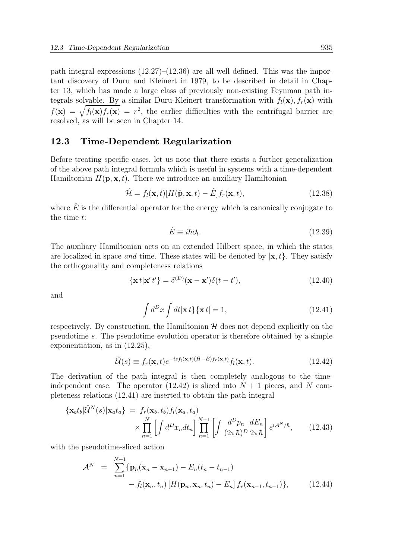path integral expressions (12.27)–(12.36) are all well defined. This was the important discovery of Duru and Kleinert in 1979, to be described in detail in Chapter 13, which has made a large class of previously non-existing Feynman path integrals solvable. By a similar Duru-Kleinert transformation with  $f_l(\mathbf{x})$ ,  $f_r(\mathbf{x})$  with  $f(\mathbf{x}) = \sqrt{f_l(\mathbf{x})f_r(\mathbf{x})} = r^2$ , the earlier difficulties with the centrifugal barrier are resolved, as will be seen in Chapter 14.

#### 12.3 Time-Dependent Regularization

Before treating specific cases, let us note that there exists a further generalization of the above path integral formula which is useful in systems with a time-dependent Hamiltonian  $H(\mathbf{p}, \mathbf{x}, t)$ . There we introduce an auxiliary Hamiltonian

$$
\hat{\mathcal{H}} = f_l(\mathbf{x}, t) [H(\hat{\mathbf{p}}, \mathbf{x}, t) - \hat{E}] f_r(\mathbf{x}, t),
$$
\n(12.38)

where  $\hat{E}$  is the differential operator for the energy which is canonically conjugate to the time t:

$$
\hat{E} \equiv i\hbar \partial_t. \tag{12.39}
$$

The auxiliary Hamiltonian acts on an extended Hilbert space, in which the states are localized in space and time. These states will be denoted by  $|\mathbf{x}, t\rangle$ . They satisfy the orthogonality and completeness relations

$$
\{\mathbf x \, t | \mathbf x' \, t'\} = \delta^{(D)}(\mathbf x - \mathbf x') \delta(t - t'),\tag{12.40}
$$

and

$$
\int d^D x \int dt |\mathbf{x} \, t\} {\{\mathbf{x} \, t\}} = 1,\tag{12.41}
$$

respectively. By construction, the Hamiltonian  $\mathcal H$  does not depend explicitly on the pseudotime s. The pseudotime evolution operator is therefore obtained by a simple exponentiation, as in (12.25),

$$
\hat{\mathcal{U}}(s) \equiv f_r(\mathbf{x}, t) e^{-isf_l(\mathbf{x}, t)(\hat{H} - \hat{E})f_r(\mathbf{x}, t)} f_l(\mathbf{x}, t).
$$
\n(12.42)

The derivation of the path integral is then completely analogous to the timeindependent case. The operator  $(12.42)$  is sliced into  $N + 1$  pieces, and N completeness relations (12.41) are inserted to obtain the path integral

$$
\begin{aligned} \{\mathbf{x}_b t_b | \hat{\mathcal{U}}^N(s) | \mathbf{x}_a t_a \} &= f_r(\mathbf{x}_b, t_b) f_l(\mathbf{x}_a, t_a) \\ &\times \prod_{n=1}^N \left[ \int d^D x_n dt_n \right] \prod_{n=1}^{N+1} \left[ \int \frac{d^D p_n}{(2\pi\hbar)^D} \frac{dE_n}{2\pi\hbar} \right] e^{i\mathcal{A}^N/\hbar}, \end{aligned} \tag{12.43}
$$

with the pseudotime-sliced action

$$
\mathcal{A}^{N} = \sum_{n=1}^{N+1} \{ \mathbf{p}_{n}(\mathbf{x}_{n} - \mathbf{x}_{n-1}) - E_{n}(t_{n} - t_{n-1}) - f_{l}(\mathbf{x}_{n}, t_{n}) [H(\mathbf{p}_{n}, \mathbf{x}_{n}, t_{n}) - E_{n}] f_{r}(\mathbf{x}_{n-1}, t_{n-1}) \}, \qquad (12.44)
$$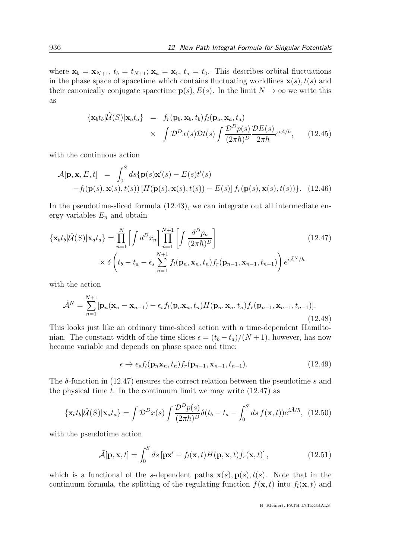where  $\mathbf{x}_b = \mathbf{x}_{N+1}$ ,  $t_b = t_{N+1}$ ;  $\mathbf{x}_a = \mathbf{x}_0$ ,  $t_a = t_0$ . This describes orbital fluctuations in the phase space of spacetime which contains fluctuating worldlines  $\mathbf{x}(s)$ ,  $t(s)$  and their canonically conjugate spacetime  $p(s)$ ,  $E(s)$ . In the limit  $N \to \infty$  we write this as

$$
\begin{array}{rcl}\n\{\mathbf{x}_b t_b | \hat{\mathcal{U}}(S) | \mathbf{x}_a t_a\} & = & f_r(\mathbf{p}_b, \mathbf{x}_b, t_b) f_l(\mathbf{p}_a, \mathbf{x}_a, t_a) \\
& \times & \int \mathcal{D}^D x(s) \mathcal{D}t(s) \int \frac{\mathcal{D}^D p(s)}{(2\pi\hbar)^D} \frac{\mathcal{D}E(s)}{2\pi\hbar} e^{i\mathcal{A}/\hbar},\n\end{array} \tag{12.45}
$$

with the continuous action

$$
\mathcal{A}[\mathbf{p}, \mathbf{x}, E, t] = \int_0^S ds \{ \mathbf{p}(s) \mathbf{x}'(s) - E(s) t'(s) - f_l(\mathbf{p}(s), \mathbf{x}(s), t(s)) [H(\mathbf{p}(s), \mathbf{x}(s), t(s)) - E(s)] f_r(\mathbf{p}(s), \mathbf{x}(s), t(s)) \}.
$$
 (12.46)

In the pseudotime-sliced formula  $(12.43)$ , we can integrate out all intermediate energy variables  $E_n$  and obtain

$$
\begin{aligned}\n\{\mathbf{x}_b t_b | \hat{\mathcal{U}}(S) | \mathbf{x}_a t_a\} &= \prod_{n=1}^N \left[ \int d^D x_n \right] \prod_{n=1}^{N+1} \left[ \int \frac{d^D p_n}{(2\pi\hbar)^D} \right] \\
&\times \delta \left( t_b - t_a - \epsilon_s \sum_{n=1}^{N+1} f_l(\mathbf{p}_n, \mathbf{x}_n, t_n) f_r(\mathbf{p}_{n-1}, \mathbf{x}_{n-1}, t_{n-1}) \right) e^{i\tilde{\mathcal{A}}^N/\hbar}\n\end{aligned} \tag{12.47}
$$

with the action

$$
\tilde{\mathcal{A}}^N = \sum_{n=1}^{N+1} [\mathbf{p}_n(\mathbf{x}_n - \mathbf{x}_{n-1}) - \epsilon_s f_l(\mathbf{p}_n \mathbf{x}_n, t_n) H(\mathbf{p}_n, \mathbf{x}_n, t_n) f_r(\mathbf{p}_{n-1}, \mathbf{x}_{n-1}, t_{n-1})].
$$
\n(12.48)

This looks just like an ordinary time-sliced action with a time-dependent Hamiltonian. The constant width of the time slices  $\epsilon = (t_b - t_a)/(N + 1)$ , however, has now become variable and depends on phase space and time:

$$
\epsilon \to \epsilon_s f_l(\mathbf{p}_n \mathbf{x}_n, t_n) f_r(\mathbf{p}_{n-1}, \mathbf{x}_{n-1}, t_{n-1}). \tag{12.49}
$$

The  $\delta$ -function in (12.47) ensures the correct relation between the pseudotime s and the physical time t. In the continuum limit we may write  $(12.47)$  as

$$
\{\mathbf{x}_b t_b | \hat{\mathcal{U}}(S) | \mathbf{x}_a t_a\} = \int \mathcal{D}^D x(s) \int \frac{\mathcal{D}^D p(s)}{(2\pi\hbar)^D} \delta(t_b - t_a - \int_0^S ds \, f(\mathbf{x}, t)) e^{i\tilde{\mathcal{A}}/\hbar}, \tag{12.50}
$$

with the pseudotime action

$$
\tilde{\mathcal{A}}[\mathbf{p}, \mathbf{x}, t] = \int_0^S ds \left[ \mathbf{p} \mathbf{x}' - f_l(\mathbf{x}, t) H(\mathbf{p}, \mathbf{x}, t) f_r(\mathbf{x}, t) \right],
$$
\n(12.51)

which is a functional of the s-dependent paths  $\mathbf{x}(s)$ ,  $\mathbf{p}(s)$ ,  $t(s)$ . Note that in the continuum formula, the splitting of the regulating function  $f(\mathbf{x}, t)$  into  $f_l(\mathbf{x}, t)$  and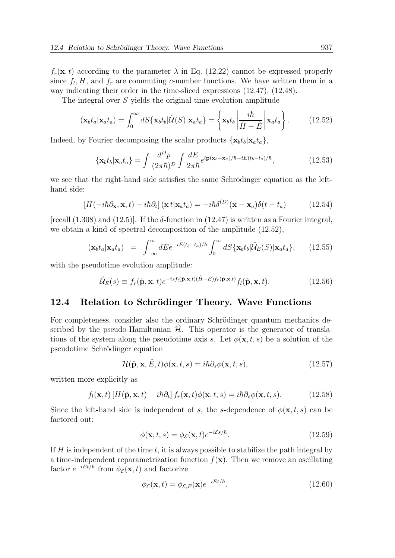$f_r(\mathbf{x}, t)$  according to the parameter  $\lambda$  in Eq. (12.22) cannot be expressed properly since  $f_l$ ,  $H$ , and  $f_r$  are commuting c-number functions. We have written them in a way indicating their order in the time-sliced expressions (12.47), (12.48).

The integral over S yields the original time evolution amplitude

$$
(\mathbf{x}_b t_a | \mathbf{x}_a t_a) = \int_0^\infty dS \{ \mathbf{x}_b t_b | \hat{\mathcal{U}}(S) | \mathbf{x}_a t_a \} = \left\{ \mathbf{x}_b t_b \left| \frac{i\hbar}{\hat{H} - \hat{E}} \right| \mathbf{x}_a t_a \right\}.
$$
 (12.52)

Indeed, by Fourier decomposing the scalar products  $\{x_b t_b | x_a t_a\}$ ,

$$
\{\mathbf{x}_b t_b | \mathbf{x}_a t_a\} = \int \frac{d^D p}{(2\pi\hbar)^D} \int \frac{dE}{2\pi\hbar} e^{i\mathbf{p}(\mathbf{x}_b - \mathbf{x}_a)/\hbar - iE(t_b - t_a)/\hbar}, \tag{12.53}
$$

we see that the right-hand side satisfies the same Schrödinger equation as the lefthand side:

$$
\left[H(-i\hbar\partial_{\mathbf{x}}, \mathbf{x}, t) - i\hbar\partial_t\right](\mathbf{x} \, t | \mathbf{x}_a t_a) = -i\hbar\delta^{(D)}(\mathbf{x} - \mathbf{x}_a)\delta(t - t_a) \tag{12.54}
$$

[recall  $(1.308)$  and  $(12.5)$ ]. If the  $\delta$ -function in  $(12.47)$  is written as a Fourier integral, we obtain a kind of spectral decomposition of the amplitude (12.52),

$$
(\mathbf{x}_b t_a | \mathbf{x}_a t_a) = \int_{-\infty}^{\infty} dE e^{-iE(t_b - t_a)/\hbar} \int_0^{\infty} dS \{ \mathbf{x}_b t_b | \hat{\mathcal{U}}_E(S) | \mathbf{x}_a t_a \}, \qquad (12.55)
$$

with the pseudotime evolution amplitude:

$$
\hat{\mathcal{U}}_E(s) \equiv f_r(\hat{\mathbf{p}}, \mathbf{x}, t) e^{-isf_l(\hat{\mathbf{p}}, \mathbf{x}, t)(\hat{H} - E)f_r(\hat{\mathbf{p}}, \mathbf{x}, t)} f_l(\hat{\mathbf{p}}, \mathbf{x}, t).
$$
(12.56)

#### 12.4 Relation to Schrödinger Theory. Wave Functions

For completeness, consider also the ordinary Schrödinger quantum mechanics described by the pseudo-Hamiltonian  $\hat{\mathcal{H}}$ . This operator is the generator of translations of the system along the pseudotime axis s. Let  $\phi(\mathbf{x}, t, s)$  be a solution of the pseudotime Schrödinger equation

$$
\mathcal{H}(\hat{\mathbf{p}}, \mathbf{x}, \hat{E}, t) \phi(\mathbf{x}, t, s) = i\hbar \partial_s \phi(\mathbf{x}, t, s),
$$
\n(12.57)

written more explicitly as

$$
f_l(\mathbf{x},t) \left[ H(\hat{\mathbf{p}}, \mathbf{x},t) - i\hbar \partial_t \right] f_r(\mathbf{x},t) \phi(\mathbf{x},t,s) = i\hbar \partial_s \phi(\mathbf{x},t,s). \tag{12.58}
$$

Since the left-hand side is independent of s, the s-dependence of  $\phi(\mathbf{x}, t, s)$  can be factored out:

$$
\phi(\mathbf{x}, t, s) = \phi_{\mathcal{E}}(\mathbf{x}, t) e^{-i\mathcal{E}s/\hbar}.
$$
\n(12.59)

If  $H$  is independent of the time  $t$ , it is always possible to stabilize the path integral by a time-independent reparametrization function  $f(\mathbf{x})$ . Then we remove an oscillating factor  $e^{-iEt/\hbar}$  from  $\phi_{\mathcal{E}}(\mathbf{x},t)$  and factorize

$$
\phi_{\mathcal{E}}(\mathbf{x},t) = \phi_{\mathcal{E},E}(\mathbf{x})e^{-iEt/\hbar}.\tag{12.60}
$$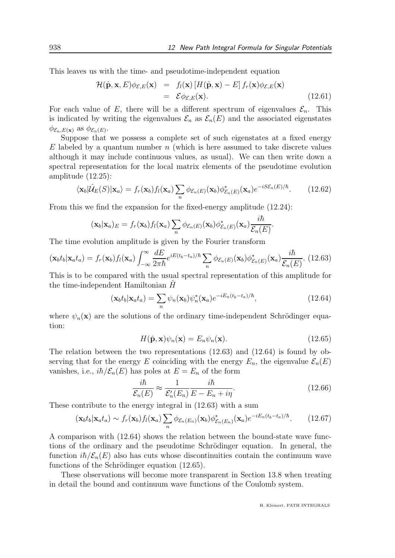This leaves us with the time- and pseudotime-independent equation

$$
\mathcal{H}(\hat{\mathbf{p}}, \mathbf{x}, E) \phi_{\mathcal{E}, E}(\mathbf{x}) = f_l(\mathbf{x}) [H(\hat{\mathbf{p}}, \mathbf{x}) - E] f_r(\mathbf{x}) \phi_{\mathcal{E}, E}(\mathbf{x}) \n= \mathcal{E} \phi_{\mathcal{E}, E}(\mathbf{x}).
$$
\n(12.61)

For each value of E, there will be a different spectrum of eigenvalues  $\mathcal{E}_n$ . This is indicated by writing the eigenvalues  $\mathcal{E}_n$  as  $\mathcal{E}_n(E)$  and the associated eigenstates  $\phi_{\mathcal{E}_n,E(\mathbf{x})}$  as  $\phi_{\mathcal{E}_n(E)}$ .

Suppose that we possess a complete set of such eigenstates at a fixed energy  $E$  labeled by a quantum number n (which is here assumed to take discrete values although it may include continuous values, as usual). We can then write down a spectral representation for the local matrix elements of the pseudotime evolution amplitude (12.25):

$$
\langle \mathbf{x}_b | \hat{\mathcal{U}}_E(S) | \mathbf{x}_a \rangle = f_r(\mathbf{x}_b) f_l(\mathbf{x}_a) \sum_n \phi_{\mathcal{E}_n(E)}(\mathbf{x}_b) \phi_{\mathcal{E}_n(E)}^*(\mathbf{x}_a) e^{-iS\mathcal{E}_n(E)/\hbar}.
$$
 (12.62)

From this we find the expansion for the fixed-energy amplitude (12.24):

$$
(\mathbf{x}_b|\mathbf{x}_a)_E = f_r(\mathbf{x}_b) f_l(\mathbf{x}_a) \sum_n \phi_{\mathcal{E}_n(E)}(\mathbf{x}_b) \phi_{\mathcal{E}_n(E)}^*(\mathbf{x}_a) \frac{i\hbar}{\mathcal{E}_n(E)}.
$$

The time evolution amplitude is given by the Fourier transform

$$
(\mathbf{x}_b t_b | \mathbf{x}_a t_a) = f_r(\mathbf{x}_b) f_l(\mathbf{x}_a) \int_{-\infty}^{\infty} \frac{dE}{2\pi\hbar} e^{iE(t_b - t_a)/\hbar} \sum_n \phi_{\mathcal{E}_n(E)}(\mathbf{x}_b) \phi_{\mathcal{E}_n(E)}^*(\mathbf{x}_a) \frac{i\hbar}{\mathcal{E}_n(E)}.
$$
 (12.63)

This is to be compared with the usual spectral representation of this amplitude for the time-independent Hamiltonian  $H$ 

$$
(\mathbf{x}_b t_b | \mathbf{x}_a t_a) = \sum_n \psi_n(\mathbf{x}_b) \psi_n^*(\mathbf{x}_a) e^{-iE_n(t_b - t_a)/\hbar}, \qquad (12.64)
$$

where  $\psi_n(\mathbf{x})$  are the solutions of the ordinary time-independent Schrödinger equation:

$$
H(\hat{\mathbf{p}}, \mathbf{x})\psi_n(\mathbf{x}) = E_n \psi_n(\mathbf{x}).
$$
\n(12.65)

The relation between the two representations (12.63) and (12.64) is found by observing that for the energy E coinciding with the energy  $E_n$ , the eigenvalue  $\mathcal{E}_n(E)$ vanishes, i.e.,  $i\hbar/\mathcal{E}_n(E)$  has poles at  $E = E_n$  of the form

$$
\frac{i\hbar}{\mathcal{E}_n(E)} \approx \frac{1}{\mathcal{E}'_n(E_n)} \frac{i\hbar}{E - E_n + i\eta}.
$$
\n(12.66)

These contribute to the energy integral in (12.63) with a sum

$$
(\mathbf{x}_b t_b | \mathbf{x}_a t_a) \sim f_r(\mathbf{x}_b) f_l(\mathbf{x}_a) \sum_n \phi_{\mathcal{E}_n(E_n)}(\mathbf{x}_b) \phi_{\mathcal{E}_n(E_n)}^*(\mathbf{x}_a) e^{-iE_n(t_b - t_a)/\hbar}.
$$
 (12.67)

A comparison with (12.64) shows the relation between the bound-state wave functions of the ordinary and the pseudotime Schrödinger equation. In general, the function  $i\hbar/\mathcal{E}_n(E)$  also has cuts whose discontinuities contain the continuum wave functions of the Schrödinger equation (12.65).

These observations will become more transparent in Section 13.8 when treating in detail the bound and continuum wave functions of the Coulomb system.